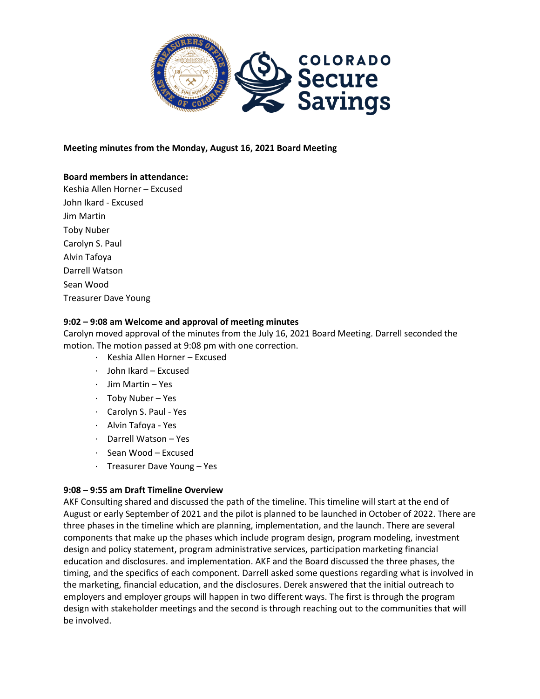

### **Meeting minutes from the Monday, August 16, 2021 Board Meeting**

### **Board members in attendance:**

Keshia Allen Horner – Excused John Ikard - Excused Jim Martin Toby Nuber Carolyn S. Paul Alvin Tafoya Darrell Watson Sean Wood Treasurer Dave Young

### **9:02 – 9:08 am Welcome and approval of meeting minutes**

Carolyn moved approval of the minutes from the July 16, 2021 Board Meeting. Darrell seconded the motion. The motion passed at 9:08 pm with one correction.

- · Keshia Allen Horner Excused
- · John Ikard Excused
- · Jim Martin Yes
- · Toby Nuber Yes
- · Carolyn S. Paul Yes
- · Alvin Tafoya Yes
- · Darrell Watson Yes
- · Sean Wood Excused
- · Treasurer Dave Young Yes

### **9:08 – 9:55 am Draft Timeline Overview**

AKF Consulting shared and discussed the path of the timeline. This timeline will start at the end of August or early September of 2021 and the pilot is planned to be launched in October of 2022. There are three phases in the timeline which are planning, implementation, and the launch. There are several components that make up the phases which include program design, program modeling, investment design and policy statement, program administrative services, participation marketing financial education and disclosures. and implementation. AKF and the Board discussed the three phases, the timing, and the specifics of each component. Darrell asked some questions regarding what is involved in the marketing, financial education, and the disclosures. Derek answered that the initial outreach to employers and employer groups will happen in two different ways. The first is through the program design with stakeholder meetings and the second is through reaching out to the communities that will be involved.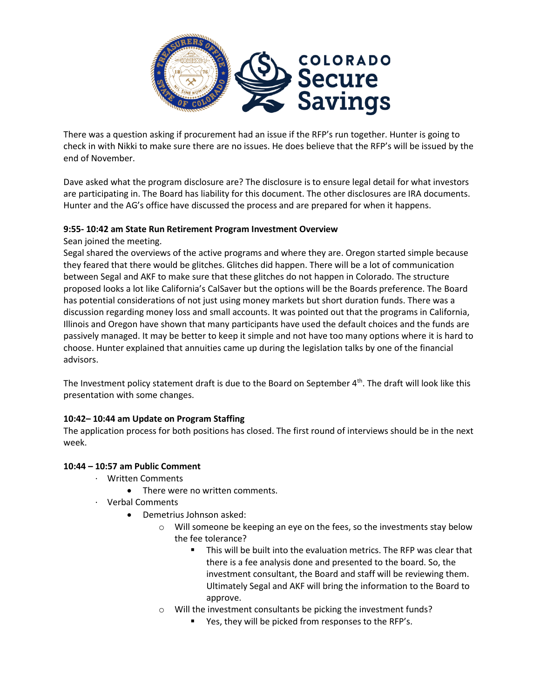

There was a question asking if procurement had an issue if the RFP's run together. Hunter is going to check in with Nikki to make sure there are no issues. He does believe that the RFP's will be issued by the end of November.

Dave asked what the program disclosure are? The disclosure is to ensure legal detail for what investors are participating in. The Board has liability for this document. The other disclosures are IRA documents. Hunter and the AG's office have discussed the process and are prepared for when it happens.

## **9:55- 10:42 am State Run Retirement Program Investment Overview**

Sean joined the meeting.

Segal shared the overviews of the active programs and where they are. Oregon started simple because they feared that there would be glitches. Glitches did happen. There will be a lot of communication between Segal and AKF to make sure that these glitches do not happen in Colorado. The structure proposed looks a lot like California's CalSaver but the options will be the Boards preference. The Board has potential considerations of not just using money markets but short duration funds. There was a discussion regarding money loss and small accounts. It was pointed out that the programs in California, Illinois and Oregon have shown that many participants have used the default choices and the funds are passively managed. It may be better to keep it simple and not have too many options where it is hard to choose. Hunter explained that annuities came up during the legislation talks by one of the financial advisors.

The Investment policy statement draft is due to the Board on September 4<sup>th</sup>. The draft will look like this presentation with some changes.

# **10:42– 10:44 am Update on Program Staffing**

The application process for both positions has closed. The first round of interviews should be in the next week.

### **10:44 – 10:57 am Public Comment**

- · Written Comments
	- There were no written comments.
- · Verbal Comments
	- Demetrius Johnson asked:
		- $\circ$  Will someone be keeping an eye on the fees, so the investments stay below the fee tolerance?
			- This will be built into the evaluation metrics. The RFP was clear that there is a fee analysis done and presented to the board. So, the investment consultant, the Board and staff will be reviewing them. Ultimately Segal and AKF will bring the information to the Board to approve.
		- Will the investment consultants be picking the investment funds?
			- Yes, they will be picked from responses to the RFP's.